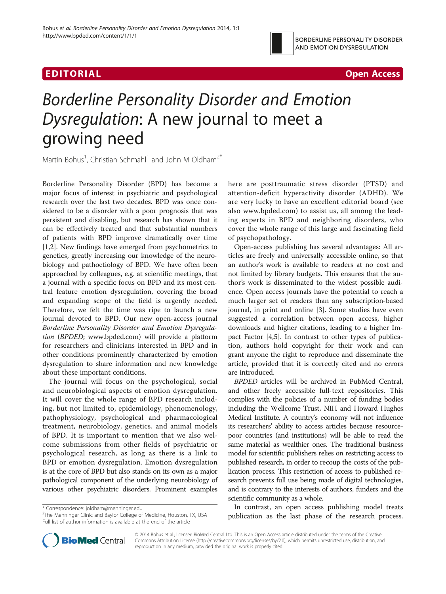



# Borderline Personality Disorder and Emotion Dysregulation: A new journal to meet a growing need

Martin Bohus<sup>1</sup>, Christian Schmahl<sup>1</sup> and John M Oldham<sup>2\*</sup>

Borderline Personality Disorder (BPD) has become a major focus of interest in psychiatric and psychological research over the last two decades. BPD was once considered to be a disorder with a poor prognosis that was persistent and disabling, but research has shown that it can be effectively treated and that substantial numbers of patients with BPD improve dramatically over time [[1,2\]](#page-1-0). New findings have emerged from psychometrics to genetics, greatly increasing our knowledge of the neurobiology and pathoetiology of BPD. We have often been approached by colleagues, e.g. at scientific meetings, that a journal with a specific focus on BPD and its most central feature emotion dysregulation, covering the broad and expanding scope of the field is urgently needed. Therefore, we felt the time was ripe to launch a new journal devoted to BPD. Our new open-access journal Borderline Personality Disorder and Emotion Dysregulation (BPDED; [www.bpded.com](http://www.bpded.com)) will provide a platform for researchers and clinicians interested in BPD and in other conditions prominently characterized by emotion dysregulation to share information and new knowledge about these important conditions.

The journal will focus on the psychological, social and neurobiological aspects of emotion dysregulation. It will cover the whole range of BPD research including, but not limited to, epidemiology, phenomenology, pathophysiology, psychological and pharmacological treatment, neurobiology, genetics, and animal models of BPD. It is important to mention that we also welcome submissions from other fields of psychiatric or psychological research, as long as there is a link to BPD or emotion dysregulation. Emotion dysregulation is at the core of BPD but also stands on its own as a major pathological component of the underlying neurobiology of various other psychiatric disorders. Prominent examples

\* Correspondence: [joldham@menninger.edu](mailto:joldham@menninger.edu) <sup>2</sup>

<sup>2</sup>The Menninger Clinic and Baylor College of Medicine, Houston, TX, USA Full list of author information is available at the end of the article

here are posttraumatic stress disorder (PTSD) and attention-deficit hyperactivity disorder (ADHD). We are very lucky to have an excellent editorial board (see also [www.bpded.com\)](http://www.bpded.com) to assist us, all among the leading experts in BPD and neighboring disorders, who cover the whole range of this large and fascinating field of psychopathology.

Open-access publishing has several advantages: All articles are freely and universally accessible online, so that an author's work is available to readers at no cost and not limited by library budgets. This ensures that the author's work is disseminated to the widest possible audience. Open access journals have the potential to reach a much larger set of readers than any subscription-based journal, in print and online [[3\]](#page-1-0). Some studies have even suggested a correlation between open access, higher downloads and higher citations, leading to a higher Impact Factor [[4,5\]](#page-1-0). In contrast to other types of publication, authors hold copyright for their work and can grant anyone the right to reproduce and disseminate the article, provided that it is correctly cited and no errors are introduced.

BPDED articles will be archived in PubMed Central, and other freely accessible full-text repositories. This complies with the policies of a number of funding bodies including the Wellcome Trust, NIH and Howard Hughes Medical Institute. A country's economy will not influence its researchers' ability to access articles because resourcepoor countries (and institutions) will be able to read the same material as wealthier ones. The traditional business model for scientific publishers relies on restricting access to published research, in order to recoup the costs of the publication process. This restriction of access to published research prevents full use being made of digital technologies, and is contrary to the interests of authors, funders and the scientific community as a whole.

In contrast, an open access publishing model treats publication as the last phase of the research process.



© 2014 Bohus et al.; licensee BioMed Central Ltd. This is an Open Access article distributed under the terms of the Creative Commons Attribution License [\(http://creativecommons.org/licenses/by/2.0\)](http://creativecommons.org/licenses/by/2.0), which permits unrestricted use, distribution, and reproduction in any medium, provided the original work is properly cited.